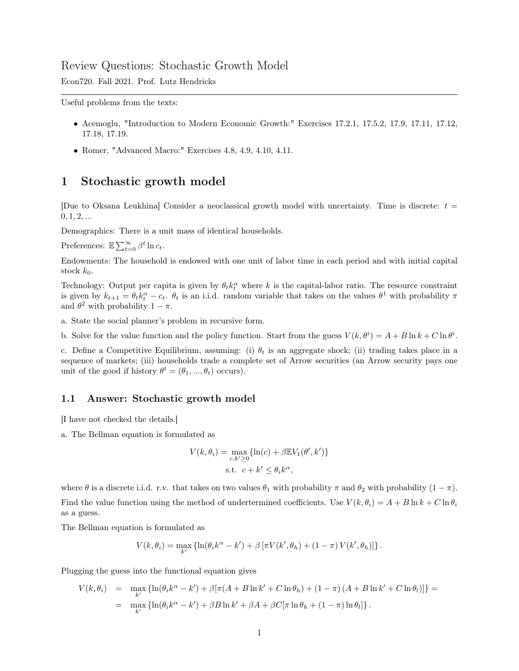## Review Questions: Stochastic Growth Model

Econ720. Fall 2021. Prof. Lutz Hendricks

Useful problems from the texts:

- Acemoglu, "Introduction to Modern Economic Growth:" Exercises 17.2.1, 17.5.2, 17.9, 17.11, 17.12, 17.18, 17.19.
- Romer, "Advanced Macro:" Exercises 4.8, 4.9, 4.10, 4.11.

## 1 Stochastic growth model

[Due to Oksana Leukhina] Consider a neoclassical growth model with uncertainty. Time is discrete:  $t =$  $0, 1, 2, ...$ 

Demographics: There is a unit mass of identical households.

Preferences:  $\mathbb{E}\sum_{t=0}^{\infty} \beta^t \ln c_t$ .

Endowments: The household is endowed with one unit of labor time in each period and with initial capital stock  $k_0$ .

Technology: Output per capita is given by  $\theta_t k_t^{\alpha}$  where k is the capital-labor ratio. The resource constraint is given by  $k_{t+1} = \theta_t k_t^{\alpha} - c_t$ .  $\theta_t$  is an i.i.d. random variable that takes on the values  $\theta^1$  with probability  $\pi$ and  $\theta^2$  with probability  $1 - \pi$ .

a. State the social planner's problem in recursive form.

b. Solve for the value function and the policy function. Start from the guess  $V(k, \theta^i) = A + B \ln k + C \ln \theta^i$ .

c. Define a Competitive Equilibrium, assuming: (i)  $\theta_t$  is an aggregate shock; (ii) trading takes place in a sequence of markets; (iii) households trade a complete set of Arrow securities (an Arrow security pays one unit of the good if history  $\theta^t = (\theta_1, ..., \theta_t)$  occurs).

## 1.1 Answer: Stochastic growth model

[I have not checked the details.]

a. The Bellman equation is formulated as

$$
V(k, \theta_i) = \max_{c, k' \ge 0} \{ \ln(c) + \beta \mathbb{E} V_1(\theta', k') \}
$$
  
s.t.  $c + k' \le \theta_i k^{\alpha}$ ,

where  $\theta$  is a discrete i.i.d. r.v. that takes on two values  $\theta_1$  with probability  $\pi$  and  $\theta_2$  with probability  $(1 - \pi)$ . Find the value function using the method of undertermined coefficients. Use  $V(k, \theta_i) = A + B \ln k + C \ln \theta_i$ as a guess.

The Bellman equation is formulated as

$$
V(k, \theta_i) = \max_{k'} \left\{ \ln(\theta_i k^{\alpha} - k') + \beta \left[ \pi V(k', \theta_h) + (1 - \pi) V(k', \theta_h) \right] \right\}.
$$

Plugging the guess into the functional equation gives

$$
V(k, \theta_i) = \max_{k'} \{ \ln(\theta_i k^{\alpha} - k') + \beta [\pi (A + B \ln k' + C \ln \theta_h) + (1 - \pi) (A + B \ln k' + C \ln \theta_l)] \} =
$$
  
= 
$$
\max_{k'} \{ \ln(\theta_i k^{\alpha} - k') + \beta B \ln k' + \beta A + \beta C [\pi \ln \theta_h + (1 - \pi) \ln \theta_l] \}.
$$